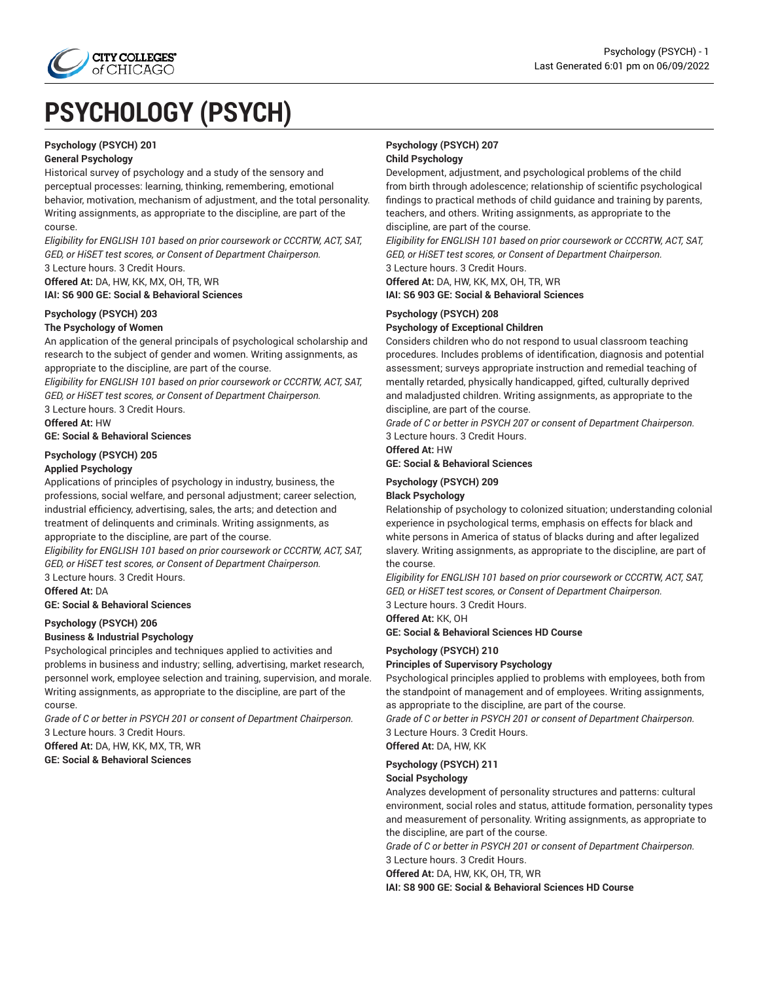

# **PSYCHOLOGY (PSYCH)**

#### **Psychology (PSYCH) 201**

#### **General Psychology**

Historical survey of psychology and a study of the sensory and perceptual processes: learning, thinking, remembering, emotional behavior, motivation, mechanism of adjustment, and the total personality. Writing assignments, as appropriate to the discipline, are part of the course.

*Eligibility for ENGLISH 101 based on prior coursework or CCCRTW, ACT, SAT, GED, or HiSET test scores, or Consent of Department Chairperson.* 3 Lecture hours. 3 Credit Hours.

**Offered At:** DA, HW, KK, MX, OH, TR, WR

**IAI: S6 900 GE: Social & Behavioral Sciences**

# **Psychology (PSYCH) 203**

#### **The Psychology of Women**

An application of the general principals of psychological scholarship and research to the subject of gender and women. Writing assignments, as appropriate to the discipline, are part of the course.

*Eligibility for ENGLISH 101 based on prior coursework or CCCRTW, ACT, SAT, GED, or HiSET test scores, or Consent of Department Chairperson.* 3 Lecture hours. 3 Credit Hours.

**Offered At:** HW

**GE: Social & Behavioral Sciences**

# **Psychology (PSYCH) 205**

#### **Applied Psychology**

Applications of principles of psychology in industry, business, the professions, social welfare, and personal adjustment; career selection, industrial efficiency, advertising, sales, the arts; and detection and treatment of delinquents and criminals. Writing assignments, as appropriate to the discipline, are part of the course.

*Eligibility for ENGLISH 101 based on prior coursework or CCCRTW, ACT, SAT, GED, or HiSET test scores, or Consent of Department Chairperson.* 3 Lecture hours. 3 Credit Hours.

**Offered At:** DA

**GE: Social & Behavioral Sciences**

#### **Psychology (PSYCH) 206**

#### **Business & Industrial Psychology**

Psychological principles and techniques applied to activities and problems in business and industry; selling, advertising, market research, personnel work, employee selection and training, supervision, and morale. Writing assignments, as appropriate to the discipline, are part of the course.

*Grade of C or better in PSYCH 201 or consent of Department Chairperson.* 3 Lecture hours. 3 Credit Hours.

**Offered At:** DA, HW, KK, MX, TR, WR **GE: Social & Behavioral Sciences**

## **Psychology (PSYCH) 207 Child Psychology**

Development, adjustment, and psychological problems of the child from birth through adolescence; relationship of scientific psychological findings to practical methods of child guidance and training by parents, teachers, and others. Writing assignments, as appropriate to the discipline, are part of the course.

*Eligibility for ENGLISH 101 based on prior coursework or CCCRTW, ACT, SAT, GED, or HiSET test scores, or Consent of Department Chairperson.* 3 Lecture hours. 3 Credit Hours.

**Offered At:** DA, HW, KK, MX, OH, TR, WR **IAI: S6 903 GE: Social & Behavioral Sciences**

## **Psychology (PSYCH) 208 Psychology of Exceptional Children**

Considers children who do not respond to usual classroom teaching procedures. Includes problems of identification, diagnosis and potential assessment; surveys appropriate instruction and remedial teaching of mentally retarded, physically handicapped, gifted, culturally deprived and maladjusted children. Writing assignments, as appropriate to the discipline, are part of the course.

*Grade of C or better in PSYCH 207 or consent of Department Chairperson.* 3 Lecture hours. 3 Credit Hours.

**Offered At:** HW

#### **GE: Social & Behavioral Sciences**

#### **Psychology (PSYCH) 209 Black Psychology**

Relationship of psychology to colonized situation; understanding colonial experience in psychological terms, emphasis on effects for black and white persons in America of status of blacks during and after legalized slavery. Writing assignments, as appropriate to the discipline, are part of the course.

*Eligibility for ENGLISH 101 based on prior coursework or CCCRTW, ACT, SAT, GED, or HiSET test scores, or Consent of Department Chairperson.* 3 Lecture hours. 3 Credit Hours.

**Offered At:** KK, OH

**GE: Social & Behavioral Sciences HD Course**

#### **Psychology (PSYCH) 210**

#### **Principles of Supervisory Psychology**

Psychological principles applied to problems with employees, both from the standpoint of management and of employees. Writing assignments, as appropriate to the discipline, are part of the course.

*Grade of C or better in PSYCH 201 or consent of Department Chairperson.* 3 Lecture Hours. 3 Credit Hours.

## **Offered At:** DA, HW, KK

#### **Psychology (PSYCH) 211**

#### **Social Psychology**

Analyzes development of personality structures and patterns: cultural environment, social roles and status, attitude formation, personality types and measurement of personality. Writing assignments, as appropriate to the discipline, are part of the course.

*Grade of C or better in PSYCH 201 or consent of Department Chairperson.* 3 Lecture hours. 3 Credit Hours.

**Offered At:** DA, HW, KK, OH, TR, WR

**IAI: S8 900 GE: Social & Behavioral Sciences HD Course**